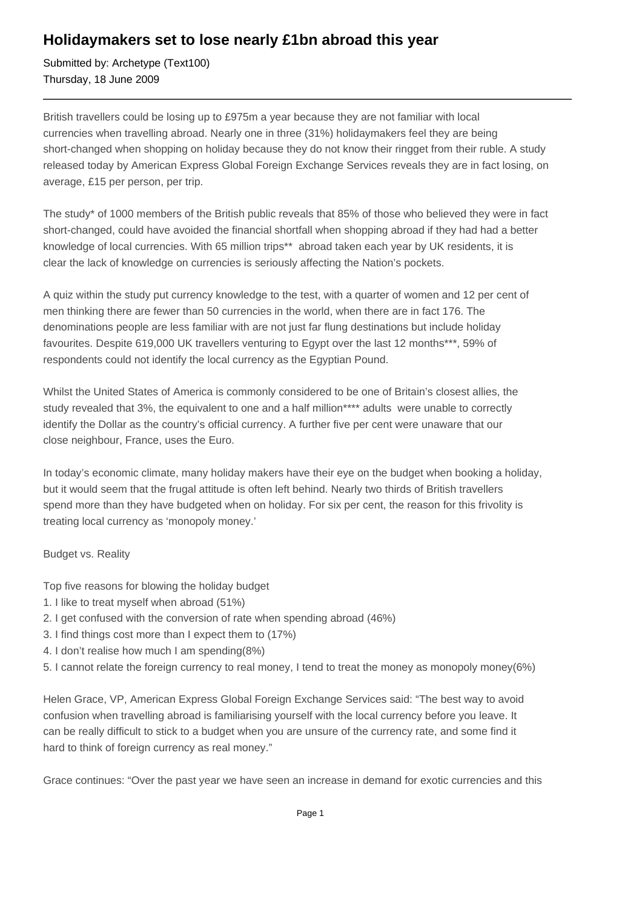## **Holidaymakers set to lose nearly £1bn abroad this year**

Submitted by: Archetype (Text100) Thursday, 18 June 2009

British travellers could be losing up to £975m a year because they are not familiar with local currencies when travelling abroad. Nearly one in three (31%) holidaymakers feel they are being short-changed when shopping on holiday because they do not know their ringget from their ruble. A study released today by American Express Global Foreign Exchange Services reveals they are in fact losing, on average, £15 per person, per trip.

The study\* of 1000 members of the British public reveals that 85% of those who believed they were in fact short-changed, could have avoided the financial shortfall when shopping abroad if they had had a better knowledge of local currencies. With 65 million trips\*\* abroad taken each year by UK residents, it is clear the lack of knowledge on currencies is seriously affecting the Nation's pockets.

A quiz within the study put currency knowledge to the test, with a quarter of women and 12 per cent of men thinking there are fewer than 50 currencies in the world, when there are in fact 176. The denominations people are less familiar with are not just far flung destinations but include holiday favourites. Despite 619,000 UK travellers venturing to Egypt over the last 12 months\*\*\*, 59% of respondents could not identify the local currency as the Egyptian Pound.

Whilst the United States of America is commonly considered to be one of Britain's closest allies, the study revealed that 3%, the equivalent to one and a half million\*\*\*\* adults were unable to correctly identify the Dollar as the country's official currency. A further five per cent were unaware that our close neighbour, France, uses the Euro.

In today's economic climate, many holiday makers have their eye on the budget when booking a holiday, but it would seem that the frugal attitude is often left behind. Nearly two thirds of British travellers spend more than they have budgeted when on holiday. For six per cent, the reason for this frivolity is treating local currency as 'monopoly money.'

## Budget vs. Reality

- Top five reasons for blowing the holiday budget
- 1. I like to treat myself when abroad (51%)
- 2. I get confused with the conversion of rate when spending abroad (46%)
- 3. I find things cost more than I expect them to (17%)
- 4. I don't realise how much I am spending (8%)
- 5. I cannot relate the foreign currency to real money, I tend to treat the money as monopoly money (6%)

Helen Grace, VP, American Express Global Foreign Exchange Services said: "The best way to avoid confusion when travelling abroad is familiarising yourself with the local currency before you leave. It can be really difficult to stick to a budget when you are unsure of the currency rate, and some find it hard to think of foreign currency as real money."

Grace continues: "Over the past year we have seen an increase in demand for exotic currencies and this